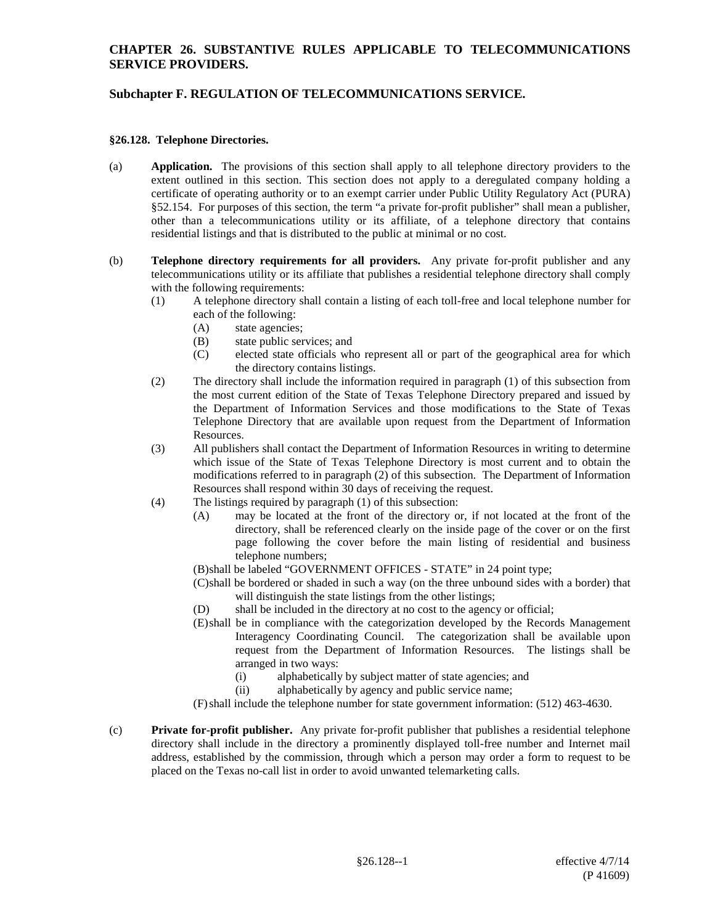## **CHAPTER 26. SUBSTANTIVE RULES APPLICABLE TO TELECOMMUNICATIONS SERVICE PROVIDERS.**

# **Subchapter F. REGULATION OF TELECOMMUNICATIONS SERVICE.**

#### **§26.128. Telephone Directories.**

- (a) **Application.** The provisions of this section shall apply to all telephone directory providers to the extent outlined in this section. This section does not apply to a deregulated company holding a certificate of operating authority or to an exempt carrier under Public Utility Regulatory Act (PURA) §52.154. For purposes of this section, the term "a private for-profit publisher" shall mean a publisher, other than a telecommunications utility or its affiliate, of a telephone directory that contains residential listings and that is distributed to the public at minimal or no cost.
- (b) **Telephone directory requirements for all providers.** Any private for-profit publisher and any telecommunications utility or its affiliate that publishes a residential telephone directory shall comply with the following requirements:
	- (1) A telephone directory shall contain a listing of each toll-free and local telephone number for each of the following:
		- (A) state agencies;
		- (B) state public services; and
		- (C) elected state officials who represent all or part of the geographical area for which the directory contains listings.
	- (2) The directory shall include the information required in paragraph (1) of this subsection from the most current edition of the State of Texas Telephone Directory prepared and issued by the Department of Information Services and those modifications to the State of Texas Telephone Directory that are available upon request from the Department of Information Resources.
	- (3) All publishers shall contact the Department of Information Resources in writing to determine which issue of the State of Texas Telephone Directory is most current and to obtain the modifications referred to in paragraph (2) of this subsection. The Department of Information Resources shall respond within 30 days of receiving the request.
	- (4) The listings required by paragraph (1) of this subsection:
		- (A) may be located at the front of the directory or, if not located at the front of the directory, shall be referenced clearly on the inside page of the cover or on the first page following the cover before the main listing of residential and business telephone numbers;
		- (B)shall be labeled "GOVERNMENT OFFICES STATE" in 24 point type;
		- (C)shall be bordered or shaded in such a way (on the three unbound sides with a border) that will distinguish the state listings from the other listings;
		- (D) shall be included in the directory at no cost to the agency or official;
		- (E)shall be in compliance with the categorization developed by the Records Management Interagency Coordinating Council. The categorization shall be available upon request from the Department of Information Resources. The listings shall be arranged in two ways:
			- (i) alphabetically by subject matter of state agencies; and
			- (ii) alphabetically by agency and public service name;
		- (F)shall include the telephone number for state government information: (512) 463-4630.
- (c) **Private for-profit publisher.** Any private for-profit publisher that publishes a residential telephone directory shall include in the directory a prominently displayed toll-free number and Internet mail address, established by the commission, through which a person may order a form to request to be placed on the Texas no-call list in order to avoid unwanted telemarketing calls.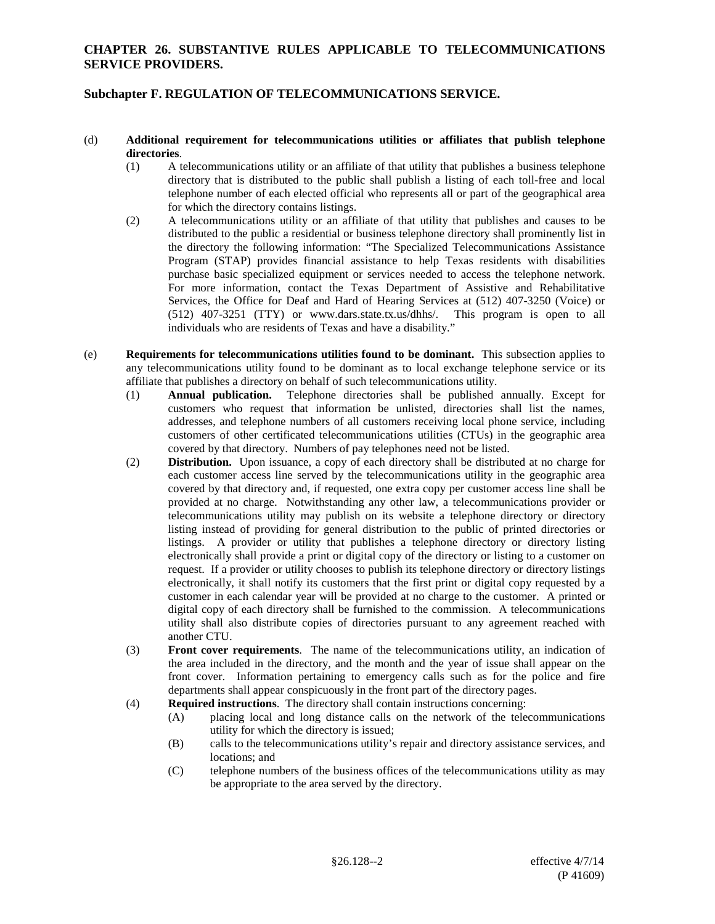#### **CHAPTER 26. SUBSTANTIVE RULES APPLICABLE TO TELECOMMUNICATIONS SERVICE PROVIDERS.**

## **Subchapter F. REGULATION OF TELECOMMUNICATIONS SERVICE.**

#### (d) **Additional requirement for telecommunications utilities or affiliates that publish telephone directories**.

- (1) A telecommunications utility or an affiliate of that utility that publishes a business telephone directory that is distributed to the public shall publish a listing of each toll-free and local telephone number of each elected official who represents all or part of the geographical area for which the directory contains listings.
- (2) A telecommunications utility or an affiliate of that utility that publishes and causes to be distributed to the public a residential or business telephone directory shall prominently list in the directory the following information: "The Specialized Telecommunications Assistance Program (STAP) provides financial assistance to help Texas residents with disabilities purchase basic specialized equipment or services needed to access the telephone network. For more information, contact the Texas Department of Assistive and Rehabilitative Services, the Office for Deaf and Hard of Hearing Services at (512) 407-3250 (Voice) or (512) 407-3251 (TTY) or www.dars.state.tx.us/dhhs/. This program is open to all individuals who are residents of Texas and have a disability."
- (e) **Requirements for telecommunications utilities found to be dominant.** This subsection applies to any telecommunications utility found to be dominant as to local exchange telephone service or its affiliate that publishes a directory on behalf of such telecommunications utility.
	- (1) **Annual publication.** Telephone directories shall be published annually. Except for customers who request that information be unlisted, directories shall list the names, addresses, and telephone numbers of all customers receiving local phone service, including customers of other certificated telecommunications utilities (CTUs) in the geographic area covered by that directory. Numbers of pay telephones need not be listed.
	- (2) **Distribution.** Upon issuance, a copy of each directory shall be distributed at no charge for each customer access line served by the telecommunications utility in the geographic area covered by that directory and, if requested, one extra copy per customer access line shall be provided at no charge. Notwithstanding any other law, a telecommunications provider or telecommunications utility may publish on its website a telephone directory or directory listing instead of providing for general distribution to the public of printed directories or listings. A provider or utility that publishes a telephone directory or directory listing electronically shall provide a print or digital copy of the directory or listing to a customer on request. If a provider or utility chooses to publish its telephone directory or directory listings electronically, it shall notify its customers that the first print or digital copy requested by a customer in each calendar year will be provided at no charge to the customer. A printed or digital copy of each directory shall be furnished to the commission. A telecommunications utility shall also distribute copies of directories pursuant to any agreement reached with another CTU.
	- (3) **Front cover requirements**. The name of the telecommunications utility, an indication of the area included in the directory, and the month and the year of issue shall appear on the front cover. Information pertaining to emergency calls such as for the police and fire departments shall appear conspicuously in the front part of the directory pages.
	- (4) **Required instructions**. The directory shall contain instructions concerning:
		- (A) placing local and long distance calls on the network of the telecommunications utility for which the directory is issued;
		- (B) calls to the telecommunications utility's repair and directory assistance services, and locations; and
		- (C) telephone numbers of the business offices of the telecommunications utility as may be appropriate to the area served by the directory.